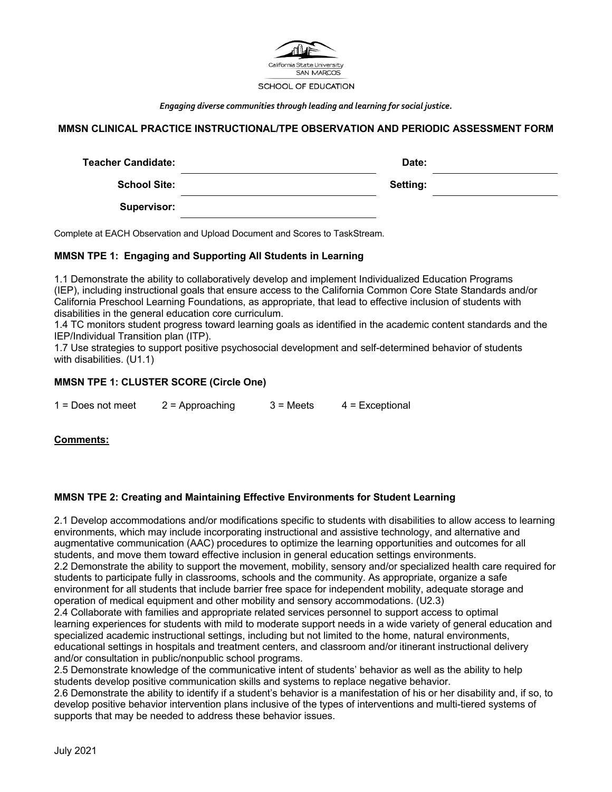

*Engaging diverse communities through leading and learning for social justice.*

# **MMSN CLINICAL PRACTICE INSTRUCTIONAL/TPE OBSERVATION AND PERIODIC ASSESSMENT FORM**

| Teacher Candidate:  | Date:    |
|---------------------|----------|
| <b>School Site:</b> | Setting: |
| Supervisor:         |          |

Complete at EACH Observation and Upload Document and Scores to TaskStream.

#### **MMSN TPE 1: Engaging and Supporting All Students in Learning**

1.1 Demonstrate the ability to collaboratively develop and implement Individualized Education Programs (IEP), including instructional goals that ensure access to the California Common Core State Standards and/or California Preschool Learning Foundations, as appropriate, that lead to effective inclusion of students with disabilities in the general education core curriculum.

1.4 TC monitors student progress toward learning goals as identified in the academic content standards and the IEP/Individual Transition plan (ITP).

1.7 Use strategies to support positive psychosocial development and self-determined behavior of students with disabilities. (U1.1)

### **MMSN TPE 1: CLUSTER SCORE (Circle One)**

| $1 = Does not meet$ | $2$ = Approaching | $3 =$ Meets | $4$ = Exceptional |
|---------------------|-------------------|-------------|-------------------|
|                     |                   |             |                   |

### **Comments:**

### **MMSN TPE 2: Creating and Maintaining Effective Environments for Student Learning**

2.1 Develop accommodations and/or modifications specific to students with disabilities to allow access to learning environments, which may include incorporating instructional and assistive technology, and alternative and augmentative communication (AAC) procedures to optimize the learning opportunities and outcomes for all students, and move them toward effective inclusion in general education settings environments. 2.2 Demonstrate the ability to support the movement, mobility, sensory and/or specialized health care required for students to participate fully in classrooms, schools and the community. As appropriate, organize a safe environment for all students that include barrier free space for independent mobility, adequate storage and operation of medical equipment and other mobility and sensory accommodations. (U2.3)

2.4 Collaborate with families and appropriate related services personnel to support access to optimal learning experiences for students with mild to moderate support needs in a wide variety of general education and specialized academic instructional settings, including but not limited to the home, natural environments, educational settings in hospitals and treatment centers, and classroom and/or itinerant instructional delivery and/or consultation in public/nonpublic school programs.

2.5 Demonstrate knowledge of the communicative intent of students' behavior as well as the ability to help students develop positive communication skills and systems to replace negative behavior.

2.6 Demonstrate the ability to identify if a student's behavior is a manifestation of his or her disability and, if so, to develop positive behavior intervention plans inclusive of the types of interventions and multi-tiered systems of supports that may be needed to address these behavior issues.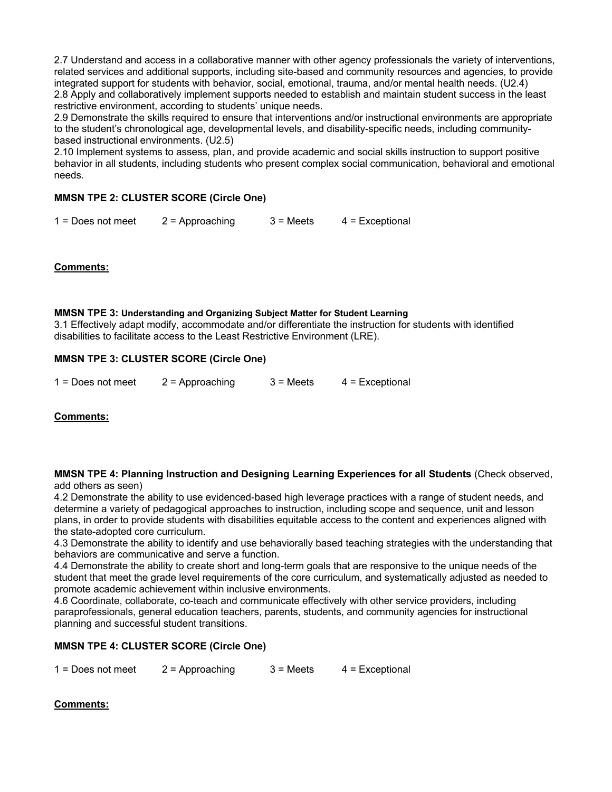2.7 Understand and access in a collaborative manner with other agency professionals the variety of interventions, related services and additional supports, including site-based and community resources and agencies, to provide integrated support for students with behavior, social, emotional, trauma, and/or mental health needs. (U2.4) 2.8 Apply and collaboratively implement supports needed to establish and maintain student success in the least restrictive environment, according to students' unique needs.

2.9 Demonstrate the skills required to ensure that interventions and/or instructional environments are appropriate to the student's chronological age, developmental levels, and disability-specific needs, including communitybased instructional environments. (U2.5)

2.10 Implement systems to assess, plan, and provide academic and social skills instruction to support positive behavior in all students, including students who present complex social communication, behavioral and emotional needs.

# **MMSN TPE 2: CLUSTER SCORE (Circle One)**

 $1 =$  Does not meet  $2 =$  Approaching  $3 =$  Meets  $4 =$  Exceptional

# **Comments:**

#### **MMSN TPE 3: Understanding and Organizing Subject Matter for Student Learning**

3.1 Effectively adapt modify, accommodate and/or differentiate the instruction for students with identified disabilities to facilitate access to the Least Restrictive Environment (LRE).

# **MMSN TPE 3: CLUSTER SCORE (Circle One)**

| $1 = Does not meet$ | $2$ = Approaching | $3 =$ Meets | $4$ = Exceptional |
|---------------------|-------------------|-------------|-------------------|
|                     |                   |             |                   |

### **Comments:**

#### **MMSN TPE 4: Planning Instruction and Designing Learning Experiences for all Students** (Check observed, add others as seen)

4.2 Demonstrate the ability to use evidenced-based high leverage practices with a range of student needs, and determine a variety of pedagogical approaches to instruction, including scope and sequence, unit and lesson plans, in order to provide students with disabilities equitable access to the content and experiences aligned with the state-adopted core curriculum.

4.3 Demonstrate the ability to identify and use behaviorally based teaching strategies with the understanding that behaviors are communicative and serve a function.

4.4 Demonstrate the ability to create short and long-term goals that are responsive to the unique needs of the student that meet the grade level requirements of the core curriculum, and systematically adjusted as needed to promote academic achievement within inclusive environments.

4.6 Coordinate, collaborate, co-teach and communicate effectively with other service providers, including paraprofessionals, general education teachers, parents, students, and community agencies for instructional planning and successful student transitions.

### **MMSN TPE 4: CLUSTER SCORE (Circle One)**

|  | $1 = Does not meet$ | $2$ = Approaching | $3 = Meets$ | $4$ = Exceptional |
|--|---------------------|-------------------|-------------|-------------------|
|--|---------------------|-------------------|-------------|-------------------|

# **Comments:**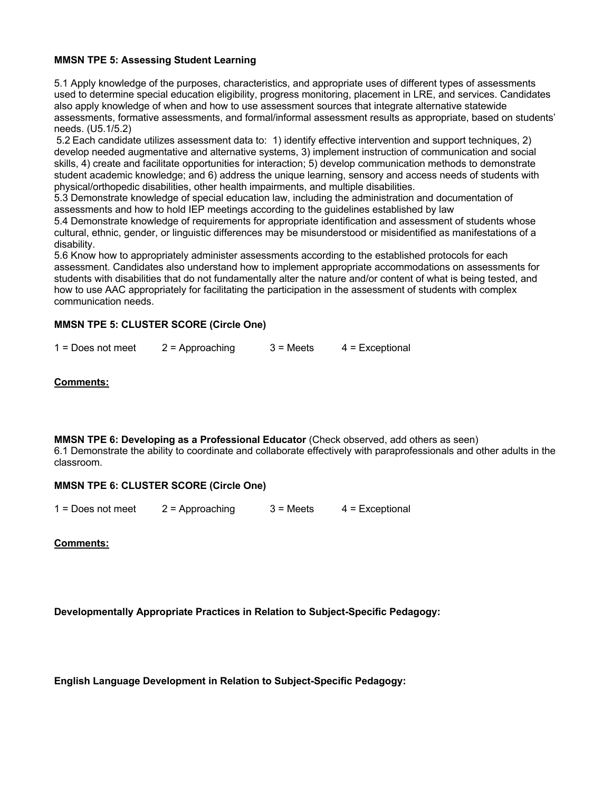# **MMSN TPE 5: Assessing Student Learning**

5.1 Apply knowledge of the purposes, characteristics, and appropriate uses of different types of assessments used to determine special education eligibility, progress monitoring, placement in LRE, and services. Candidates also apply knowledge of when and how to use assessment sources that integrate alternative statewide assessments, formative assessments, and formal/informal assessment results as appropriate, based on students' needs. (U5.1/5.2)

5.2 Each candidate utilizes assessment data to: 1) identify effective intervention and support techniques, 2) develop needed augmentative and alternative systems, 3) implement instruction of communication and social skills, 4) create and facilitate opportunities for interaction; 5) develop communication methods to demonstrate student academic knowledge; and 6) address the unique learning, sensory and access needs of students with physical/orthopedic disabilities, other health impairments, and multiple disabilities.

5.3 Demonstrate knowledge of special education law, including the administration and documentation of assessments and how to hold IEP meetings according to the guidelines established by law

5.4 Demonstrate knowledge of requirements for appropriate identification and assessment of students whose cultural, ethnic, gender, or linguistic differences may be misunderstood or misidentified as manifestations of a disability.

5.6 Know how to appropriately administer assessments according to the established protocols for each assessment. Candidates also understand how to implement appropriate accommodations on assessments for students with disabilities that do not fundamentally alter the nature and/or content of what is being tested, and how to use AAC appropriately for facilitating the participation in the assessment of students with complex communication needs.

# **MMSN TPE 5: CLUSTER SCORE (Circle One)**

|  | $1 = Does not meet$ | 2 = Approaching | $3 =$ Meets | $4$ = Exceptional |
|--|---------------------|-----------------|-------------|-------------------|
|--|---------------------|-----------------|-------------|-------------------|

# **Comments:**

**MMSN TPE 6: Developing as a Professional Educator** (Check observed, add others as seen) 6.1 Demonstrate the ability to coordinate and collaborate effectively with paraprofessionals and other adults in the classroom.

### **MMSN TPE 6: CLUSTER SCORE (Circle One)**

|  | $1 = Does not meet$ | $2$ = Approaching | $3 = Meets$ | $4$ = Exceptional |
|--|---------------------|-------------------|-------------|-------------------|
|--|---------------------|-------------------|-------------|-------------------|

**Comments:**

**Developmentally Appropriate Practices in Relation to Subject-Specific Pedagogy:**

**English Language Development in Relation to Subject-Specific Pedagogy:**